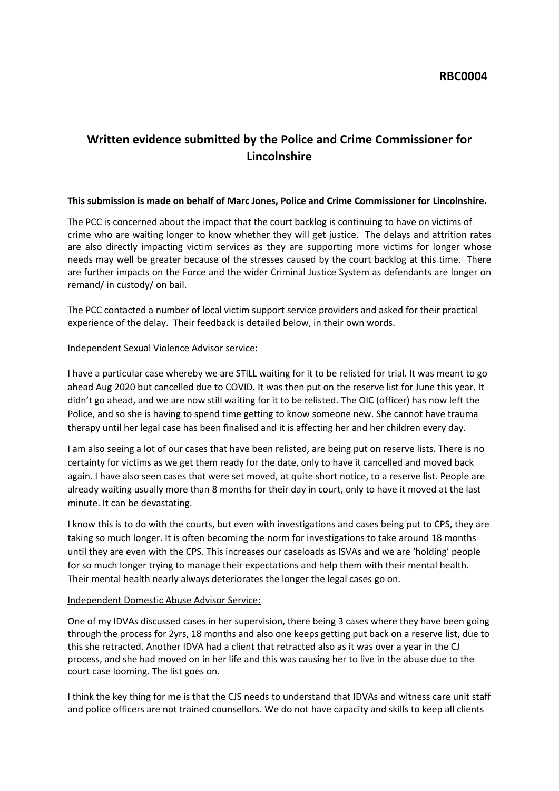# **Written evidence submitted by the Police and Crime Commissioner for Lincolnshire**

## **This submission is made on behalf of Marc Jones, Police and Crime Commissioner for Lincolnshire.**

The PCC is concerned about the impact that the court backlog is continuing to have on victims of crime who are waiting longer to know whether they will get justice. The delays and attrition rates are also directly impacting victim services as they are supporting more victims for longer whose needs may well be greater because of the stresses caused by the court backlog at this time. There are further impacts on the Force and the wider Criminal Justice System as defendants are longer on remand/ in custody/ on bail.

The PCC contacted a number of local victim support service providers and asked for their practical experience of the delay. Their feedback is detailed below, in their own words.

## Independent Sexual Violence Advisor service:

I have a particular case whereby we are STILL waiting for it to be relisted for trial. It was meant to go ahead Aug 2020 but cancelled due to COVID. It was then put on the reserve list for June this year. It didn't go ahead, and we are now still waiting for it to be relisted. The OIC (officer) has now left the Police, and so she is having to spend time getting to know someone new. She cannot have trauma therapy until her legal case has been finalised and it is affecting her and her children every day.

I am also seeing a lot of our cases that have been relisted, are being put on reserve lists. There is no certainty for victims as we get them ready for the date, only to have it cancelled and moved back again. I have also seen cases that were set moved, at quite short notice, to a reserve list. People are already waiting usually more than 8 months for their day in court, only to have it moved at the last minute. It can be devastating.

I know this is to do with the courts, but even with investigations and cases being put to CPS, they are taking so much longer. It is often becoming the norm for investigations to take around 18 months until they are even with the CPS. This increases our caseloads as ISVAs and we are 'holding' people for so much longer trying to manage their expectations and help them with their mental health. Their mental health nearly always deteriorates the longer the legal cases go on.

#### Independent Domestic Abuse Advisor Service:

One of my IDVAs discussed cases in her supervision, there being 3 cases where they have been going through the process for 2yrs, 18 months and also one keeps getting put back on a reserve list, due to this she retracted. Another IDVA had a client that retracted also as it was over a year in the CJ process, and she had moved on in her life and this was causing her to live in the abuse due to the court case looming. The list goes on.

I think the key thing for me is that the CJS needs to understand that IDVAs and witness care unit staff and police officers are not trained counsellors. We do not have capacity and skills to keep all clients